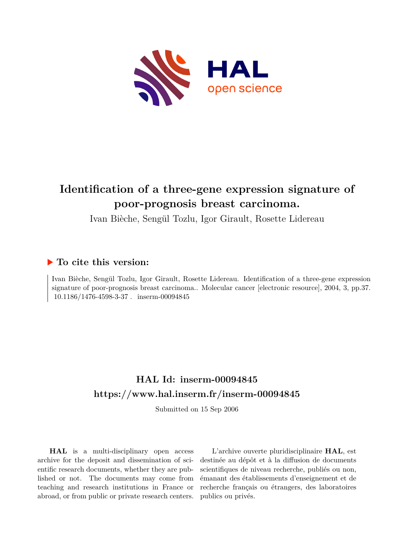

# **Identification of a three-gene expression signature of poor-prognosis breast carcinoma.**

Ivan Bièche, Sengül Tozlu, Igor Girault, Rosette Lidereau

## **To cite this version:**

Ivan Bièche, Sengül Tozlu, Igor Girault, Rosette Lidereau. Identification of a three-gene expression signature of poor-prognosis breast carcinoma.. Molecular cancer [electronic resource], 2004, 3, pp.37.  $10.1186/1476-4598-3-37$ . inserm-00094845

# **HAL Id: inserm-00094845 <https://www.hal.inserm.fr/inserm-00094845>**

Submitted on 15 Sep 2006

**HAL** is a multi-disciplinary open access archive for the deposit and dissemination of scientific research documents, whether they are published or not. The documents may come from teaching and research institutions in France or abroad, or from public or private research centers.

L'archive ouverte pluridisciplinaire **HAL**, est destinée au dépôt et à la diffusion de documents scientifiques de niveau recherche, publiés ou non, émanant des établissements d'enseignement et de recherche français ou étrangers, des laboratoires publics ou privés.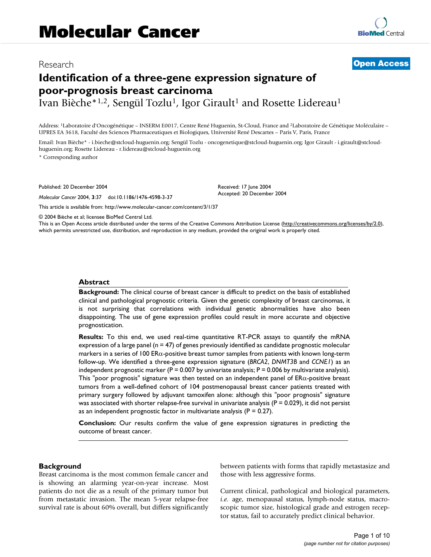### Research [Open Access](http://www.biomedcentral.com/info/about/charter/)

# **Identification of a three-gene expression signature of poor-prognosis breast carcinoma**

Ivan Bièche\*<sup>1,2</sup>, Sengül Tozlu<sup>1</sup>, Igor Girault<sup>1</sup> and Rosette Lidereau<sup>1</sup>

Address: <sup>1</sup>Laboratoire d'Oncogénétique – INSERM E0017, Centre René Huguenin, St-Cloud, France and <sup>2</sup>Laboratoire de Génétique Moléculaire – UPRES EA 3618, Faculté des Sciences Pharmaceutiques et Biologiques, Université René Descartes – Paris V, Paris, France

Email: Ivan Bièche\* - i.bieche@stcloud-huguenin.org; Sengül Tozlu - oncogenetique@stcloud-huguenin.org; Igor Girault - i.girault@stcloudhuguenin.org; Rosette Lidereau - r.lidereau@stcloud-huguenin.org

\* Corresponding author

Published: 20 December 2004

*Molecular Cancer* 2004, **3**:37 doi:10.1186/1476-4598-3-37

[This article is available from: http://www.molecular-cancer.com/content/3/1/37](http://www.molecular-cancer.com/content/3/1/37)

Received: 17 June 2004 Accepted: 20 December 2004

© 2004 Bièche et al; licensee BioMed Central Ltd.

This is an Open Access article distributed under the terms of the Creative Commons Attribution License [\(http://creativecommons.org/licenses/by/2.0\)](http://creativecommons.org/licenses/by/2.0), which permits unrestricted use, distribution, and reproduction in any medium, provided the original work is properly cited.

#### **Abstract**

**Background:** The clinical course of breast cancer is difficult to predict on the basis of established clinical and pathological prognostic criteria. Given the genetic complexity of breast carcinomas, it is not surprising that correlations with individual genetic abnormalities have also been disappointing. The use of gene expression profiles could result in more accurate and objective prognostication.

**Results:** To this end, we used real-time quantitative RT-PCR assays to quantify the mRNA expression of a large panel ( $n = 47$ ) of genes previously identified as candidate prognostic molecular markers in a series of 100  $ER\alpha$ -positive breast tumor samples from patients with known long-term follow-up. We identified a three-gene expression signature (*BRCA2*, *DNMT3B* and *CCNE1*) as an independent prognostic marker ( $P = 0.007$  by univariate analysis;  $P = 0.006$  by multivariate analysis). This "poor prognosis" signature was then tested on an independent panel of ERα-positive breast tumors from a well-defined cohort of 104 postmenopausal breast cancer patients treated with primary surgery followed by adjuvant tamoxifen alone: although this "poor prognosis" signature was associated with shorter relapse-free survival in univariate analysis ( $P = 0.029$ ), it did not persist as an independent prognostic factor in multivariate analysis ( $P = 0.27$ ).

**Conclusion:** Our results confirm the value of gene expression signatures in predicting the outcome of breast cancer.

#### **Background**

Breast carcinoma is the most common female cancer and is showing an alarming year-on-year increase. Most patients do not die as a result of the primary tumor but from metastatic invasion. The mean 5-year relapse-free survival rate is about 60% overall, but differs significantly between patients with forms that rapidly metastasize and those with less aggressive forms.

Current clinical, pathological and biological parameters, *i.e.* age, menopausal status, lymph-node status, macroscopic tumor size, histological grade and estrogen receptor status, fail to accurately predict clinical behavior.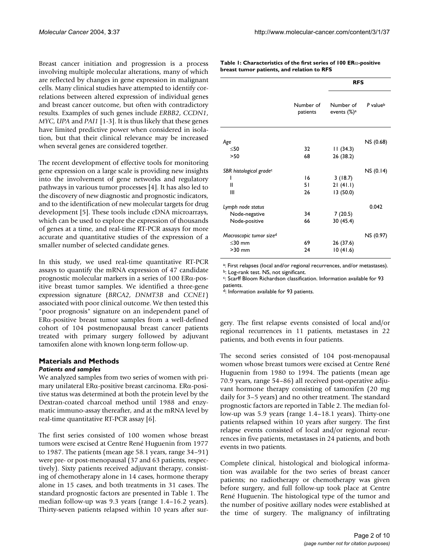Breast cancer initiation and progression is a process involving multiple molecular alterations, many of which are reflected by changes in gene expression in malignant cells. Many clinical studies have attempted to identify correlations between altered expression of individual genes and breast cancer outcome, but often with contradictory results. Examples of such genes include *ERBB2*, *CCDN1*, *MYC*, *UPA* and *PAI1* [1-3]. It is thus likely that these genes have limited predictive power when considered in isolation, but that their clinical relevance may be increased when several genes are considered together.

The recent development of effective tools for monitoring gene expression on a large scale is providing new insights into the involvement of gene networks and regulatory pathways in various tumor processes [4]. It has also led to the discovery of new diagnostic and prognostic indicators, and to the identification of new molecular targets for drug development [5]. These tools include cDNA microarrays, which can be used to explore the expression of thousands of genes at a time, and real-time RT-PCR assays for more accurate and quantitative studies of the expression of a smaller number of selected candidate genes.

In this study, we used real-time quantitative RT-PCR assays to quantify the mRNA expression of 47 candidate prognostic molecular markers in a series of 100 ERα-positive breast tumor samples. We identified a three-gene expression signature (*BRCA2*, *DNMT3B* and *CCNE1*) associated with poor clinical outcome. We then tested this "poor prognosis" signature on an independent panel of ERα-positive breast tumor samples from a well-defined cohort of 104 postmenopausal breast cancer patients treated with primary surgery followed by adjuvant tamoxifen alone with known long-term follow-up.

## **Materials and Methods**

#### *Patients and samples*

We analyzed samples from two series of women with primary unilateral ERα-positive breast carcinoma. ERα-positive status was determined at both the protein level by the Dextran-coated charcoal method until 1988 and enzymatic immuno-assay thereafter, and at the mRNA level by real-time quantitative RT-PCR assay [6].

The first series consisted of 100 women whose breast tumors were excised at Centre René Huguenin from 1977 to 1987. The patients (mean age 58.1 years, range 34–91) were pre- or post-menopausal (37 and 63 patients, respectively). Sixty patients received adjuvant therapy, consisting of chemotherapy alone in 14 cases, hormone therapy alone in 15 cases, and both treatments in 31 cases. The standard prognostic factors are presented in Table 1. The median follow-up was 9.3 years (range 1.4–16.2 years). Thirty-seven patients relapsed within 10 years after sur**Table 1: Characteristics of the first series of 100 ER**α**-positive breast tumor patients, and relation to RFS**

|                                     |                       |                                      | <b>RFS</b>           |  |  |
|-------------------------------------|-----------------------|--------------------------------------|----------------------|--|--|
|                                     | Number of<br>patients | Number of<br>events (%) <sup>a</sup> | P value <sup>b</sup> |  |  |
|                                     |                       |                                      |                      |  |  |
| Age                                 |                       |                                      | NS (0.68)            |  |  |
| $\leq 50$                           | 32                    | 11(34.3)                             |                      |  |  |
| >50                                 | 68                    | 26 (38.2)                            |                      |  |  |
| SBR histological grade <sup>c</sup> |                       |                                      | NS (0.14)            |  |  |
| I                                   | 16                    | 3(18.7)                              |                      |  |  |
| Ш                                   | 51                    | 21(41.1)                             |                      |  |  |
| Ш                                   | 26                    | 13(50.0)                             |                      |  |  |
| Lymph node status                   |                       |                                      | 0.042                |  |  |
| Node-negative                       | 34                    | 7(20.5)                              |                      |  |  |
| Node-positive                       | 66                    | 30 (45.4)                            |                      |  |  |
| Macroscopic tumor size <sup>d</sup> |                       |                                      | NS (0.97)            |  |  |
| $<$ 30 mm                           | 69                    | 26 (37.6)                            |                      |  |  |
| $>30$ mm                            | 24                    | 10(41.6)                             |                      |  |  |

a: First relapses (local and/or regional recurrences, and/or metastases).

b: Log-rank test. NS, not significant.

c : Scarff Bloom Richardson classification. Information available for 93 patients.

d: Information available for 93 patients.

gery. The first relapse events consisted of local and/or regional recurrences in 11 patients, metastases in 22 patients, and both events in four patients.

The second series consisted of 104 post-menopausal women whose breast tumors were excised at Centre René Huguenin from 1980 to 1994. The patients (mean age 70.9 years, range 54–86) all received post-operative adjuvant hormone therapy consisting of tamoxifen (20 mg daily for 3–5 years) and no other treatment. The standard prognostic factors are reported in Table 2. The median follow-up was 5.9 years (range 1.4–18.1 years). Thirty-one patients relapsed within 10 years after surgery. The first relapse events consisted of local and/or regional recurrences in five patients, metastases in 24 patients, and both events in two patients.

Complete clinical, histological and biological information was available for the two series of breast cancer patients; no radiotherapy or chemotherapy was given before surgery, and full follow-up took place at Centre René Huguenin. The histological type of the tumor and the number of positive axillary nodes were established at the time of surgery. The malignancy of infiltrating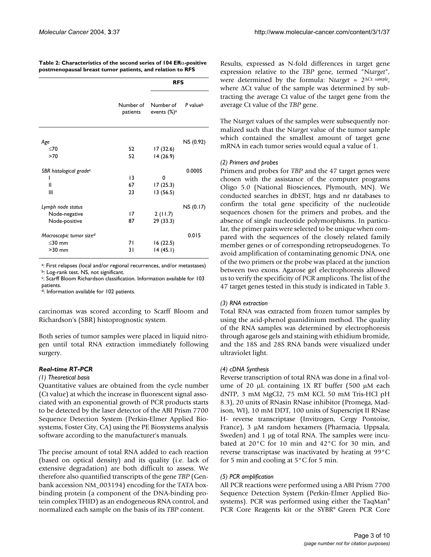|                                     | Number of<br>patients | <b>RFS</b>                           |                      |  |
|-------------------------------------|-----------------------|--------------------------------------|----------------------|--|
|                                     |                       | Number of<br>events (%) <sup>a</sup> | P value <sup>b</sup> |  |
| Age                                 |                       |                                      | NS (0.92)            |  |
| <70                                 | 52                    | 17 (32.6)                            |                      |  |
| >70                                 | 52                    | 14 (26.9)                            |                      |  |
| SBR histological grade <sup>c</sup> |                       |                                      | 0.0005               |  |
| ı                                   | 3                     | 0                                    |                      |  |
| Ш                                   | 67                    | 17(25.3)                             |                      |  |
| Ш                                   | 23                    | 13(56.5)                             |                      |  |
| Lymph node status                   |                       |                                      | NS (0.17)            |  |
| Node-negative                       | 17                    | 2(11.7)                              |                      |  |
| Node-positive                       | 87                    | 29 (33.3)                            |                      |  |
| Macroscopic tumor size <sup>d</sup> |                       |                                      | 0.015                |  |
| $\leq$ 30 mm                        | 71                    | 16(22.5)                             |                      |  |
| $>30$ mm                            | 31                    | 14(45.1)                             |                      |  |

**Table 2: Characteristics of the second series of 104 ER**α**-positive postmenopausal breast tumor patients, and relation to RFS**

a: First relapses (local and/or regional recurrences, and/or metastases)

b: Log-rank test. NS, not significant.

c : Scarff Bloom Richardson classification. Information available for 103 patients.

d: Information available for 102 patients.

carcinomas was scored according to Scarff Bloom and Richardson's (SBR) histoprognostic system.

Both series of tumor samples were placed in liquid nitrogen until total RNA extraction immediately following surgery.

#### *Real-time RT-PCR*

#### *(1) Theoretical basis*

Quantitative values are obtained from the cycle number (Ct value) at which the increase in fluorescent signal associated with an exponential growth of PCR products starts to be detected by the laser detector of the ABI Prism 7700 Sequence Detection System (Perkin-Elmer Applied Biosystems, Foster City, CA) using the PE Biosystems analysis software according to the manufacturer's manuals.

The precise amount of total RNA added to each reaction (based on optical density) and its quality (i.e. lack of extensive degradation) are both difficult to assess. We therefore also quantified transcripts of the gene *TBP* (Genbank accession NM\_003194) encoding for the TATA boxbinding protein (a component of the DNA-binding protein complex TFIID) as an endogeneous RNA control, and normalized each sample on the basis of its *TBP* content.

Results, expressed as N-fold differences in target gene expression relative to the *TBP* gene, termed "N*target*", were determined by the formula: N*target* = 2<sup>∆</sup>Ct *sample* , where ∆Ct value of the sample was determined by subtracting the average Ct value of the target gene from the average Ct value of the *TBP* gene.

The N*target* values of the samples were subsequently normalized such that the N*target* value of the tumor sample which contained the smallest amount of target gene mRNA in each tumor series would equal a value of 1.

#### *(2) Primers and probes*

Primers and probes for *TBP* and the 47 target genes were chosen with the assistance of the computer programs Oligo 5.0 (National Biosciences, Plymouth, MN). We conducted searches in dbEST, htgs and nr databases to confirm the total gene specificity of the nucleotide sequences chosen for the primers and probes, and the absence of single nucleotide polymorphisms. In particular, the primer pairs were selected to be unique when compared with the sequences of the closely related family member genes or of corresponding retropseudogenes. To avoid amplification of contaminating genomic DNA, one of the two primers or the probe was placed at the junction between two exons. Agarose gel electrophoresis allowed us to verify the specificity of PCR amplicons. The list of the 47 target genes tested in this study is indicated in Table 3.

#### *(3) RNA extraction*

Total RNA was extracted from frozen tumor samples by using the acid-phenol guanidinium method. The quality of the RNA samples was determined by electrophoresis through agarose gels and staining with ethidium bromide, and the 18S and 28S RNA bands were visualized under ultraviolet light.

#### *(4) cDNA Synthesis*

Reverse transcription of total RNA was done in a final volume of 20 µL containing 1X RT buffer (500 µM each dNTP, 3 mM MgCl2, 75 mM KCl, 50 mM Tris-HCl pH 8.3), 20 units of RNasin RNase inhibitor (Promega, Madison, WI), 10 mM DDT, 100 units of Superscript II RNase H- reverse transcriptase (Invitrogen, Cergy Pontoise, France), 3 µM random hexamers (Pharmacia, Uppsala, Sweden) and 1 µg of total RNA. The samples were incubated at 20°C for 10 min and 42°C for 30 min, and reverse transcriptase was inactivated by heating at 99°C for 5 min and cooling at  $5^{\circ}$ C for 5 min.

#### *(5) PCR amplification*

All PCR reactions were performed using a ABI Prism 7700 Sequence Detection System (Perkin-Elmer Applied Biosystems). PCR was performed using either the TaqMan® PCR Core Reagents kit or the SYBR® Green PCR Core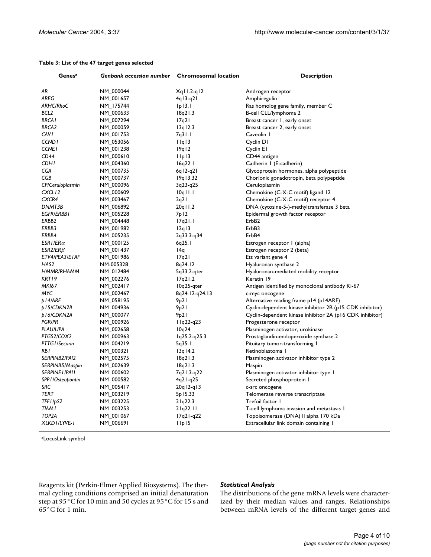| Genes <sup>a</sup> | Genbank accession number | <b>Chromosomal location</b>        | <b>Description</b>                                       |  |
|--------------------|--------------------------|------------------------------------|----------------------------------------------------------|--|
| ΑR                 | NM_000044                | $Xq11.2-q12$                       | Androgen receptor                                        |  |
| AREG               | NM_001657                | 4q13-q21                           | Amphiregulin                                             |  |
| ARHC/RhoC          | NM_175744                | $ p $ 3.                           | Ras homolog gene family, member C                        |  |
| BCL <sub>2</sub>   | NM 000633                | 18q21.3                            | B-cell CLL/lymphoma 2                                    |  |
| <b>BRCAI</b>       | NM_007294                | 17q21                              | Breast cancer 1, early onset                             |  |
| <b>BRCA2</b>       | NM_000059                | 13q12.3                            | Breast cancer 2, early onset                             |  |
| <b>CAVI</b>        | NM_001753                | 7q31.1                             | Caveolin I                                               |  |
| <b>CCND1</b>       | NM_053056                | IIq13                              | Cyclin D1                                                |  |
| <b>CCNE1</b>       | NM_001238                | 19q12                              | Cyclin El                                                |  |
| CD44               | NM_000610                | $I$ <sub>Ip</sub> $3$              | CD44 antigen                                             |  |
| <b>CDHI</b>        | NM_004360                | 16q22.1                            | Cadherin I (E-cadherin)                                  |  |
| CGA                | NM_000735                | $6q12-q21$                         | Glycoprotein hormones, alpha polypeptide                 |  |
| CGB                | NM_000737                | 19q13.32                           | Chorionic gonadotropin, beta polypeptide                 |  |
| CP/Ceruloplasmin   | NM_000096                | 3q23-q25                           | Ceruloplasmin                                            |  |
| CXCL <sub>12</sub> | NM_000609                | $10q$   $1.1$                      | Chemokine (C-X-C motif) ligand 12                        |  |
| CXCR4              | NM_003467                | 2q21                               | Chemokine (C-X-C motif) receptor 4                       |  |
| DNMT3B             | NM_006892                | 20q I I.2                          | DNA (cytosine-5-)-methyltransferase 3 beta               |  |
| EGFR/ERBB1         | NM_005228                | 7p12                               | Epidermal growth factor receptor                         |  |
| ERBB2              | NM_004448                | 17q21.1                            | ErbB2                                                    |  |
| ERBB3              | NM_001982                | 12q13                              | ErbB3                                                    |  |
| ERBB4              | NM_005235                | 2q33.3-q34                         | ErbB4                                                    |  |
| ESRI/ER $\alpha$   | NM_000125                | 6q25.1                             | Estrogen receptor I (alpha)                              |  |
| ESR2/ER $\beta$    | NM_001437                | 14q                                | Estrogen receptor 2 (beta)                               |  |
| ETV4/PEA3/E1AF     | NM_001986                | 17q21                              | Ets variant gene 4                                       |  |
| HAS2               | NM-005328                | 8q24.12                            | Hyaluronan synthase 2                                    |  |
| HMMR/RHAMM         | NM_012484                | 5q33.2-qter                        | Hyaluronan-mediated mobility receptor                    |  |
| KRT19              | NM_002276                | 17q21.2                            | Keratin 19                                               |  |
| <b>MKI67</b>       | NM_002417                | $10q25$ -gter                      | Antigen identified by monoclonal antibody Ki-67          |  |
| MYC                | NM_002467                | 8q24.12-q24.13                     | c-myc oncogene                                           |  |
| p14/ARF            | NM_058195                | 9p21                               | Alternative reading frame p14 (p14ARF)                   |  |
| p15/CDKN2B         | NM_004936                | 9 <sub>p</sub> 21                  | Cyclin-dependent kinase inhibitor 2B (p15 CDK inhibitor) |  |
| p16/CDKN2A         | NM_000077                | 9p21                               | Cyclin-dependent kinase inhibitor 2A (p16 CDK inhibitor) |  |
| <b>PGR/PR</b>      | NM_000926                | $11q22-q23$                        | Progesterone receptor                                    |  |
| PLAU/UPA           | NM_002658                | 10q24                              | Plasminogen activator, urokinase                         |  |
| PTGS2/COX2         | NM_000963                | $1q25.2-q25.3$                     | Prostaglandin-endoperoxide synthase 2                    |  |
| PTTG1/Securin      | NM_004219                | 5q35.1                             | Pituitary tumor-transforming I                           |  |
| RB I               | NM_000321                | $13q$   4.2                        | Retinoblastoma I                                         |  |
| SERPINB2/PAI2      | NM_002575                | 18q21.3                            | Plasminogen activator inhibitor type 2                   |  |
| SERPINB5/Maspin    | NM_002639                | 18q21.3                            | Maspin                                                   |  |
| SERPINE I /PAI I   | NM_000602                | 7q21.3-q22                         | Plasminogen activator inhibitor type I                   |  |
| SPP I/Osteopontin  | NM_000582                | $4q21-q25$                         | Secreted phosphoprotein I                                |  |
| SRC                | NM_005417                | $20q12-q13$                        | c-src oncogene                                           |  |
| TERT               | NM_003219                | 5p15.33                            | Telomerase reverse transcriptase                         |  |
| TFF1/pS2           | NM_003225                | 21q22.3                            | Trefoil factor 1                                         |  |
| TIAM I             | NM_003253                | 21q22.11                           | T-cell lymphoma invasion and metastasis 1                |  |
| TOP <sub>2</sub> A | NM_001067                | $17q21-q22$                        | Topoisomerase (DNA) Il alpha 170 kDa                     |  |
| XLKD I /LYVE-I     | NM_006691                | $I$ <sub>Ip</sub> $I$ <sub>5</sub> | Extracellular link domain containing I                   |  |

#### **Table 3: List of the 47 target genes selected**

aLocusLink symbol

Reagents kit (Perkin-Elmer Applied Biosystems). The thermal cycling conditions comprised an initial denaturation step at 95°C for 10 min and 50 cycles at 95°C for 15 s and 65°C for 1 min.

#### *Statistical Analysis*

The distributions of the gene mRNA levels were characterized by their median values and ranges. Relationships between mRNA levels of the different target genes and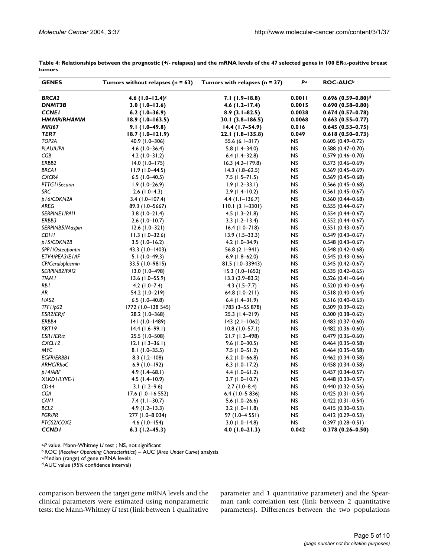| <b>GENES</b>       | Tumors without relapses ( $n = 63$ ) | Tumors with relapses $(n = 37)$ | Pa        | <b>ROC-AUC</b> b                  |
|--------------------|--------------------------------------|---------------------------------|-----------|-----------------------------------|
| <b>BRCA2</b>       | 4.6 $(1.0 - 12.4)$ c                 | $7.1(1.9-18.8)$                 | 0.0011    | $0.696(0.59 - 0.80)$ <sup>d</sup> |
| DNMT3B             | $3.0(1.0-13.6)$                      | $4.6$ (1.2–17.4)                | 0.0015    | $0.690(0.58 - 0.80)$              |
| <b>CCNEI</b>       | $6.2$ (1.0–36.9)                     | $8.9(3.1 - 82.5)$               | 0.0038    | $0.674(0.57-0.78)$                |
| <b>HMMR/RHAMM</b>  | $18.9(1.0 - 163.5)$                  | $30.1(3.8 - 186.5)$             | 0.0068    | $0.663(0.55 - 0.77)$              |
| <b>MKI67</b>       | $9.1(1.0-49.8)$                      | $14.4(1.7-54.9)$                | 0.016     | $0.645(0.53 - 0.75)$              |
| TERT               | $18.7(1.0-121.9)$                    | 22.1 (1.8–135.8)                | 0.049     | $0.618(0.50-0.73)$                |
| TOP <sub>2</sub> A | 40.9 (1.0–306)                       | 55.6 $(6.1 - 317)$              | NS        | $0.605(0.49 - 0.72)$              |
| PLAU/UPA           | $4.6$ (1.0-36.4)                     | $5.8$ (1.4-34.0)                | <b>NS</b> | $0.588(0.47 - 0.70)$              |
| CGB                | $4.2$ (1.0-31.2)                     | $6.4$ (1.4-32.8)                | <b>NS</b> | $0.579(0.46 - 0.70)$              |
| ERBB2              | $14.0$ (1.0-175)                     | $16.3$ $(4.2 - 179.8)$          | NS        | $0.573(0.46 - 0.69)$              |
| <b>BRCAI</b>       | $11.9(1.0-44.5)$                     | $14.3$ (1.8-62.5)               | <b>NS</b> | $0.569(0.45 - 0.69)$              |
| CXCR4              | $6.5$ (1.0-40.5)                     | $7.5$ (1.5-71.5)                | <b>NS</b> | $0.569(0.45 - 0.68)$              |
| PTTG1/Securin      | $1.9(1.0-26.9)$                      | $1.9(1.2 - 33.1)$               | <b>NS</b> | $0.566(0.45 - 0.68)$              |
| SRC                | $2.6(1.0-4.3)$                       | $2.9(1.4-10.2)$                 | <b>NS</b> | $0.561(0.45 - 0.67)$              |
| p16/CDKN2A         | $3.4$ (1.0-107.4)                    | $4.4$ (1.1–136.7)               | <b>NS</b> | $0.560(0.44 - 0.68)$              |
| AREG               | 89.3 (1.0-5667)                      | $110.1(3.1 - 3301)$             | <b>NS</b> | $0.555(0.44 - 0.67)$              |
| SERPINE I / PAI I  | $3.8(1.0-21.4)$                      | $4.5$ (1.3-21.8)                | <b>NS</b> | $0.554(0.44 - 0.67)$              |
| ERBB3              | $2.6$ (1.0–10.7)                     | $3.3$ (1.2–13.4)                | <b>NS</b> | $0.552(0.44 - 0.67)$              |
| SERPINB5/Maspin    | $12.6(1.0-321)$                      | $16.4(1.0 - 718)$               | <b>NS</b> | $0.551(0.43 - 0.67)$              |
| <b>CDHI</b>        | $11.3(1.0-32.6)$                     | $13.9(1.5-33.3)$                | <b>NS</b> | $0.549(0.43 - 0.67)$              |
| p15/CDKN2B         | $3.5(1.0 - 16.2)$                    | $4.2$ (1.0-34.9)                | <b>NS</b> | $0.548(0.43 - 0.67)$              |
| SPP I/Osteopontin  | 43.3 (1.0–1403)                      | $56.8(2.1-941)$                 | <b>NS</b> | $0.548(0.42 - 0.68)$              |
| ETV4/PEA3/E1AF     | $5.1(1.0-49.3)$                      | $6.9$ (1.8-62.0)                | <b>NS</b> | $0.545(0.43 - 0.66)$              |
| CP/Ceruloplasmin   | 33.5 (1.0-9815)                      | 81.5 (1.0-33943)                | <b>NS</b> | $0.545(0.42 - 0.67)$              |
| SERPINB2/PAI2      | 13.0 (1.0-498)                       | $15.3$ (1.0-1652)               | <b>NS</b> | $0.535(0.42 - 0.65)$              |
| <b>TIAM I</b>      | $13.6$ (1.0-55.9)                    | $13.3(3.9 - 83.2)$              | <b>NS</b> | $0.526(0.41 - 0.64)$              |
| RB I               | $4.2$ (1.0-7.4)                      | $4.3$ (1.5–7.7)                 | <b>NS</b> | $0.520(0.40 - 0.64)$              |
| AR                 | 54.2 (1.0-219)                       | 64.8 $(1.0-211)$                | <b>NS</b> | $0.518(0.40 - 0.64)$              |
| HAS2               | 6.5 $(1.0 - 40.8)$                   | $6.4$ (1.4-31.9)                | <b>NS</b> | $0.516(0.40 - 0.63)$              |
| TFF1/pS2           | 1772 (1.0–138 545)                   | 1783 (3-55 878)                 | <b>NS</b> | $0.509(0.39 - 0.62)$              |
| $ESR2/ER\beta$     | 28.2 (1.0-368)                       | $25.3(1.4-219)$                 | <b>NS</b> | $0.500(0.38 - 0.62)$              |
| ERBB4              | $ 4 $ (1.0-1489)                     | $143(2.1 - 1062)$               | <b>NS</b> | $0.483(0.37 - 0.60)$              |
| KRT19              | $14.4$ (1.6-99.1)                    | $10.8(1.0 - 57.1)$              | <b>NS</b> | $0.482(0.36 - 0.60)$              |
| ESRI/ER $\alpha$   | 25.5 (1.0–508)                       | 21.7 (1.2–498)                  | <b>NS</b> | $0.479(0.36 - 0.60)$              |
| CXCL <sub>12</sub> | $12.1(1.3-36.1)$                     | $9.6$ (1.0-30.5)                | <b>NS</b> | $0.464(0.35 - 0.58)$              |
| MYC                | $8.1(1.0-35.5)$                      | $7.5$ (1.0-51.2)                | <b>NS</b> | $0.464(0.35 - 0.58)$              |
| <b>EGFR/ERBB1</b>  | $8.3$ (1.2-108)                      | $6.2$ (1.0–66.8)                | <b>NS</b> | $0.462(0.34 - 0.58)$              |
| ARHC/RhoC          | $6.9(1.0-192)$                       | $6.3$ (1.0-17.2)                | <b>NS</b> | $0.458(0.34 - 0.58)$              |
| p14/ARF            | $4.9(1.4-68.1)$                      | $4.4$ (1.0–61.2)                | <b>NS</b> | $0.457(0.34 - 0.57)$              |
| XLKD I /LYVE-I     | $4.5$ (1.4–10.9)                     | $3.7(1.0 - 10.7)$               | <b>NS</b> | $0.448(0.33 - 0.57)$              |
| CD44               | $3.1(1.2-9.6)$                       | $2.7(1.0 - 8.4)$                | <b>NS</b> | $0.440(0.32 - 0.56)$              |
| CGA                | $17.6$ (1.0–16 552)                  | $6.4$ (1.0-5 836)               | <b>NS</b> | $0.425(0.31 - 0.54)$              |
| <b>CAVI</b>        | $7.4$ (1.1-30.7)                     | $5.6$ (1.0–26.6)                | <b>NS</b> | $0.422(0.31 - 0.54)$              |
| BCL <sub>2</sub>   | $4.9$ (1.2-13.3)                     | $3.2$ (1.0-11.8)                | <b>NS</b> | $0.415(0.30 - 0.53)$              |
| <b>PGR/PR</b>      | 277 (1.0-8 034)                      | 97 (1.0–4 551)                  | <b>NS</b> | $0.412(0.29 - 0.53)$              |
| PTGS2/COX2         | 4.6 (1.0–154)                        | $3.0$ (1.0–14.8)                | <b>NS</b> | $0.397(0.28 - 0.51)$              |
| <b>CCNDI</b>       | $6.3$ (1.2–45.3)                     | $4.0(1.0-21.3)$                 | 0.042     | $0.378(0.26 - 0.50)$              |

**Table 4: Relationships between the prognostic (+/- relapses) and the mRNA levels of the 47 selected genes in 100 ER**α**-positive breast tumors**

a:*P* value, Mann-Whitney *U* test ; NS, not significant

b:ROC (*Receiver Operating Characteristics*) – AUC (*Area Under Curve*) analysis

c:Median (range) of gene mRNA levels

d:AUC value (95% confidence interval)

comparison between the target gene mRNA levels and the clinical parameters were estimated using nonparametric tests: the Mann-Whitney *U* test (link between 1 qualitative parameter and 1 quantitative parameter) and the Spearman rank correlation test (link between 2 quantitative parameters). Differences between the two populations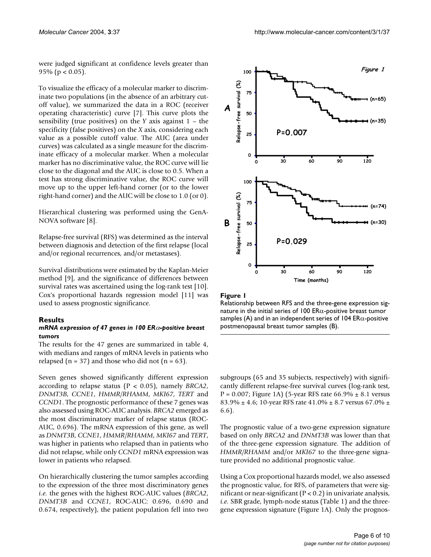were judged significant at confidence levels greater than 95% ( $p < 0.05$ ).

To visualize the efficacy of a molecular marker to discriminate two populations (in the absence of an arbitrary cutoff value), we summarized the data in a ROC (receiver operating characteristic) curve [7]. This curve plots the sensibility (true positives) on the *Y* axis against 1 – the specificity (false positives) on the *X* axis, considering each value as a possible cutoff value. The AUC (area under curves) was calculated as a single measure for the discriminate efficacy of a molecular marker. When a molecular marker has no discriminative value, the ROC curve will lie close to the diagonal and the AUC is close to 0.5. When a test has strong discriminative value, the ROC curve will move up to the upper left-hand corner (or to the lower right-hand corner) and the AUC will be close to 1.0 (or 0).

Hierarchical clustering was performed using the GenA-NOVA software [8].

Relapse-free survival (RFS) was determined as the interval between diagnosis and detection of the first relapse (local and/or regional recurrences, and/or metastases).

Survival distributions were estimated by the Kaplan-Meier method [9], and the significance of differences between survival rates was ascertained using the log-rank test [10]. Cox's proportional hazards regression model [11] was used to assess prognostic significance.

#### **Results**

#### *mRNA expression of 47 genes in 100 ER*α*-positive breast tumors*

The results for the 47 genes are summarized in table 4, with medians and ranges of mRNA levels in patients who relapsed ( $n = 37$ ) and those who did not ( $n = 63$ ).

Seven genes showed significantly different expression according to relapse status (P < 0.05), namely *BRCA2*, *DNMT3B*, *CCNE1*, *HMMR/RHAMM*, *MKI67*, *TERT* and *CCND1*. The prognostic performance of these 7 genes was also assessed using ROC-AUC analysis. *BRCA2* emerged as the most discriminatory marker of relapse status (ROC-AUC, 0.696). The mRNA expression of this gene, as well as *DNMT3B*, *CCNE1*, *HMMR/RHAMM*, *MKI67* and *TERT*, was higher in patients who relapsed than in patients who did not relapse, while only *CCND1* mRNA expression was lower in patients who relapsed.

On hierarchically clustering the tumor samples according to the expression of the three most discriminatory genes *i.e.* the genes with the highest ROC-AUC values (*BRCA2*, *DNMT3B* and *CCNE1*, ROC-AUC: 0.696, 0.690 and 0.674, respectively), the patient population fell into two



Figure I

Relationship between RFS and the three-gene expression signature in the initial series of 100 ER $\alpha$ -positive breast tumor samples (A) and in an independent series of 104 ER $\alpha$ -positive postmenopausal breast tumor samples (B).

subgroups (65 and 35 subjects, respectively) with significantly different relapse-free survival curves (log-rank test, P = 0.007; Figure 1A) (5-year RFS rate  $66.9\% \pm 8.1$  versus 83.9%  $\pm$  4.6; 10-year RFS rate 41.0%  $\pm$  8.7 versus 67.0%  $\pm$ 6.6).

The prognostic value of a two-gene expression signature based on only *BRCA2* and *DNMT3B* was lower than that of the three-gene expression signature. The addition of *HMMR/RHAMM* and/or *MKI67* to the three-gene signature provided no additional prognostic value.

Using a Cox proportional hazards model, we also assessed the prognostic value, for RFS, of parameters that were significant or near-significant  $(P < 0.2)$  in univariate analysis, *i.e.* SBR grade, lymph-node status (Table 1) and the threegene expression signature (Figure 1A). Only the prognos-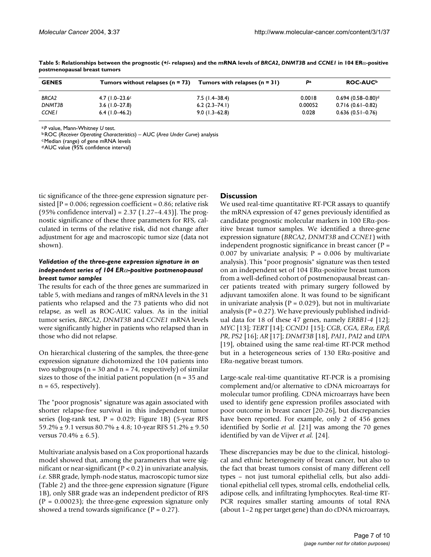| <b>GENES</b>           | Tumors without relapses $(n = 73)$   | Tumors with relapses $(n = 31)$     | Pa                | ROC-AUC <sup>b</sup>                                     |
|------------------------|--------------------------------------|-------------------------------------|-------------------|----------------------------------------------------------|
| <b>BRCA2</b><br>DNMT3B | $4.7$ (1.0-23.6°<br>$3.6$ (1.0-27.8) | $7.5$ (1.4–38.4)<br>$6.2(2.3-74.1)$ | 0.0018<br>0.00052 | $0.694$ (0.58-0.80) <sup>d</sup><br>$0.716(0.61 - 0.82)$ |
| <b>CCNE1</b>           | $6.4$ (1.0–46.2)                     | $9.0(1.3 - 62.8)$                   | 0.028             | $0.636(0.51-0.76)$                                       |

**Table 5: Relationships between the prognostic (+/- relapses) and the mRNA levels of** *BRCA2***,** *DNMT3B* **and** *CCNE1* **in 104 ER**α**-positive postmenopausal breast tumors**

a:*P* value, Mann-Whitney *U* test.

b:ROC (*Receiver Operating Characteristics*) – AUC (*Area Under Curve*) analysis

c:Median (range) of gene mRNA levels

d:AUC value (95% confidence interval)

tic significance of the three-gene expression signature persisted  $[P = 0.006$ ; regression coefficient = 0.86; relative risk (95% confidence interval) =  $2.37$  (1.27–4.43)]. The prognostic significance of these three parameters for RFS, calculated in terms of the relative risk, did not change after adjustment for age and macroscopic tumor size (data not shown).

#### *Validation of the three-gene expression signature in an independent series of 104 ER*α*-positive postmenopausal breast tumor samples*

The results for each of the three genes are summarized in table 5, with medians and ranges of mRNA levels in the 31 patients who relapsed and the 73 patients who did not relapse, as well as ROC-AUC values. As in the initial tumor series, *BRCA2*, *DNMT3B* and *CCNE1* mRNA levels were significantly higher in patients who relapsed than in those who did not relapse.

On hierarchical clustering of the samples, the three-gene expression signature dichotomized the 104 patients into two subgroups ( $n = 30$  and  $n = 74$ , respectively) of similar sizes to those of the initial patient population ( $n = 35$  and  $n = 65$ , respectively).

The "poor prognosis" signature was again associated with shorter relapse-free survival in this independent tumor series (log-rank test,  $P = 0.029$ ; Figure 1B) (5-year RFS 59.2%  $\pm$  9.1 versus 80.7%  $\pm$  4.8; 10-year RFS 51.2%  $\pm$  9.50 versus  $70.4\% \pm 6.5$ ).

Multivariate analysis based on a Cox proportional hazards model showed that, among the parameters that were significant or near-significant ( $P < 0.2$ ) in univariate analysis, *i.e.* SBR grade, lymph-node status, macroscopic tumor size (Table 2) and the three-gene expression signature (Figure 1B), only SBR grade was an independent predictor of RFS  $(P = 0.00023)$ ; the three-gene expression signature only showed a trend towards significance  $(P = 0.27)$ .

#### **Discussion**

We used real-time quantitative RT-PCR assays to quantify the mRNA expression of 47 genes previously identified as candidate prognostic molecular markers in 100 ERα-positive breast tumor samples. We identified a three-gene expression signature (*BRCA2*, *DNMT3B* and *CCNE1*) with independent prognostic significance in breast cancer  $(P =$ 0.007 by univariate analysis;  $P = 0.006$  by multivariate analysis). This "poor prognosis" signature was then tested on an independent set of 104 ERα-positive breast tumors from a well-defined cohort of postmenopausal breast cancer patients treated with primary surgery followed by adjuvant tamoxifen alone. It was found to be significant in univariate analysis ( $P = 0.029$ ), but not in multivariate analysis ( $P = 0.27$ ). We have previously published individual data for 18 of these 47 genes, namely *ERBB1-4* [12]; *MYC* [13]; *TERT* [14]; *CCND1* [15]; *CGB*, *CGA*, *ER*α, *ER*β, *PR*, *PS2* [16]; *AR* [17]; *DNMT3B* [18], *PAI1*, *PAI2* and *UPA* [19], obtained using the same real-time RT-PCR method but in a heterogeneous series of 130 ERα-positive and ERα-negative breast tumors.

Large-scale real-time quantitative RT-PCR is a promising complement and/or alternative to cDNA microarrays for molecular tumor profiling. CDNA microarrays have been used to identify gene expression profiles associated with poor outcome in breast cancer [20-26], but discrepancies have been reported. For example, only 2 of 456 genes identified by Sorlie *et al.* [21] was among the 70 genes identified by van de Vijver *et al.* [24].

These discrepancies may be due to the clinical, histological and ethnic heterogeneity of breast cancer, but also to the fact that breast tumors consist of many different cell types – not just tumoral epithelial cells, but also additional epithelial cell types, stromal cells, endothelial cells, adipose cells, and infiltrating lymphocytes. Real-time RT-PCR requires smaller starting amounts of total RNA (about 1–2 ng per target gene) than do cDNA microarrays,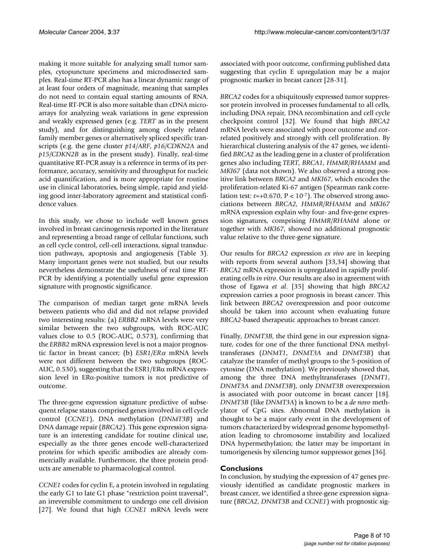making it more suitable for analyzing small tumor samples, cytopuncture specimens and microdissected samples. Real-time RT-PCR also has a linear dynamic range of at least four orders of magnitude, meaning that samples do not need to contain equal starting amounts of RNA. Real-time RT-PCR is also more suitable than cDNA microarrays for analyzing weak variations in gene expression and weakly expressed genes (e.g. *TERT* as in the present study), and for distinguishing among closely related family member genes or alternatively spliced specific transcripts (e.g. the gene cluster *p14/ARF*, *p16/CDKN2A* and *p15/CDKN2B* as in the present study). Finally, real-time quantitative RT-PCR assay is a reference in terms of its performance, accuracy, sensitivity and throughput for nucleic acid quantification, and is more appropriate for routine use in clinical laboratories, being simple, rapid and yielding good inter-laboratory agreement and statistical confidence values.

In this study, we chose to include well known genes involved in breast carcinogenesis reported in the literature and representing a broad range of cellular functions, such as cell cycle control, cell-cell interactions, signal transduction pathways, apoptosis and angiogenesis (Table 3). Many important genes were not studied, but our results nevertheless demonstrate the usefulness of real time RT-PCR by identifying a potentially useful gene expression signature with prognostic significance.

The comparison of median target gene mRNA levels between patients who did and did not relapse provided two interesting results: (a) *ERBB2* mRNA levels were very similar between the two subgroups, with ROC-AUC values close to 0.5 (ROC-AUC, 0.573), confirming that the *ERBB2* mRNA expression level is not a major prognostic factor in breast cancer; (b) *ESR1/ER*<sup>α</sup> mRNA levels were not different between the two subgroups (ROC-AUC, 0.530), suggesting that the  $ESR1/ER\alpha$  mRNA expression level in ERα-positive tumors is not predictive of outcome.

The three-gene expression signature predictive of subsequent relapse status comprised genes involved in cell cycle control (*CCNE1*), DNA methylation (*DNMT3B*) and DNA damage repair (*BRCA2*). This gene expression signature is an interesting candidate for routine clinical use, especially as the three genes encode well-characterized proteins for which specific antibodies are already commercially available. Furthermore, the three protein products are amenable to pharmacological control.

*CCNE1* codes for cyclin E, a protein involved in regulating the early G1 to late G1 phase "restriction point traversal", an irreversible commitment to undergo one cell division [27]. We found that high *CCNE1* mRNA levels were

associated with poor outcome, confirming published data suggesting that cyclin E upregulation may be a major prognostic marker in breast cancer [28-31].

*BRCA2* codes for a ubiquitously expressed tumor suppressor protein involved in processes fundamental to all cells, including DNA repair, DNA recombination and cell cycle checkpoint control [32]. We found that high *BRCA2* mRNA levels were associated with poor outcome and correlated positively and strongly with cell proliferation. By hierarchical clustering analysis of the 47 genes, we identified *BRCA2* as the leading gene in a cluster of proliferation genes also including *TERT*, *BRCA1*, *HMMR/RHAMM* and *MKI67* (data not shown). We also observed a strong positive link between *BRCA2* and *MKI67*, which encodes the proliferation-related Ki-67 antigen (Spearman rank correlation test:  $r=+0.670$ ,  $P < 10^{-7}$ ). The observed strong associations between *BRCA2*, *HMMR/RHAMM* and *MKI67* mRNA expression explain why four- and five-gene expression signatures, comprising *HMMR/RHAMM* alone or together with *MKI67*, showed no additional prognostic value relative to the three-gene signature.

Our results for *BRCA2* expression *ex vivo* are in keeping with reports from several authors [33,34] showing that *BRCA2* mRNA expression is upregulated in rapidly proliferating cells *in vitro*. Our results are also in agreement with those of Egawa *et al*. [35] showing that high *BRCA2* expression carries a poor prognosis in breast cancer. This link between *BRCA2* overexpression and poor outcome should be taken into account when evaluating future *BRCA2*-based therapeutic approaches to breast cancer.

Finally, *DNMT3B*, the third gene in our expression signature, codes for one of the three functional DNA methyltransferases (*DNMT1*, *DNMT3A* and *DNMT3B*) that catalyze the transfer of methyl groups to the 5-position of cytosine (DNA methylation). We previously showed that, among the three DNA methyltransferases (*DNMT1*, *DNMT3A* and *DNMT3B*), only *DNMT3B* overexpression is associated with poor outcome in breast cancer [18]. *DNMT3B* (like *DNMT3A*) is known to be a *de novo* methylator of CpG sites. Abnormal DNA methylation is thought to be a major early event in the development of tumors characterized by widespread genome hypomethylation leading to chromosome instability and localized DNA hypermethylation; the latter may be important in tumorigenesis by silencing tumor suppressor genes [36].

#### **Conclusions**

In conclusion, by studying the expression of 47 genes previously identified as candidate prognostic markers in breast cancer, we identified a three-gene expression signature (*BRCA2*, *DNMT3B* and *CCNE1*) with prognostic sig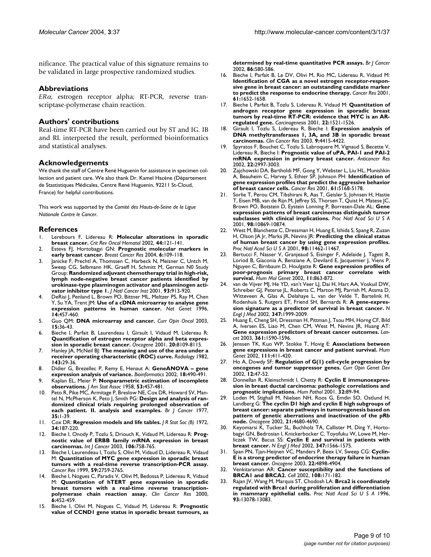nificance. The practical value of this signature remains to be validated in large prospective randomized studies.

#### **Abbreviations**

*ER*α, estrogen receptor alpha; RT-PCR, reverse transcriptase-polymerase chain reaction.

#### **Authors' contributions**

Real-time RT-PCR have been carried out by ST and IG. IB and RL interpreted the result, performed bioinformatics and statistical analyses.

#### **Acknowledgements**

We thank the staff of Centre René Huguenin for assistance in specimen collection and patient care. We also thank Dr. Kamel Hacène (Département de Stastistiques Médicales, Centre René Huguenin, 92211 St-Cloud, France) for helpful contributions.

This work was supported by the *Comité des Hauts-de-Seine de la Ligue Nationale Contre le Cancer*.

#### **References**

- 1. Lerebours F, Lidereau R: **[Molecular alterations in sporadic](http://www.ncbi.nlm.nih.gov/entrez/query.fcgi?cmd=Retrieve&db=PubMed&dopt=Abstract&list_uids=12413631) [breast cancer.](http://www.ncbi.nlm.nih.gov/entrez/query.fcgi?cmd=Retrieve&db=PubMed&dopt=Abstract&list_uids=12413631)** *Crit Rev Oncol Hematol* 2002, **44:**121-141.
- 2. Esteva FJ, Hortobagyi GN: **[Prognostic molecular markers in](http://www.ncbi.nlm.nih.gov/entrez/query.fcgi?cmd=Retrieve&db=PubMed&dopt=Abstract&list_uids=15084231) [early breast cancer.](http://www.ncbi.nlm.nih.gov/entrez/query.fcgi?cmd=Retrieve&db=PubMed&dopt=Abstract&list_uids=15084231)** *Breast Cancer Res* 2004, **6:**109-118.
- 3. Janicke F, Prechtl A, Thomssen C, Harbeck N, Meisner C, Untch M, Sweep CG, Selbmann HK, Graeff H, Schmitt M, German N0 Study Group: **[Randomized adjuvant chemotherapy trial in high-risk,](http://www.ncbi.nlm.nih.gov/entrez/query.fcgi?cmd=Retrieve&db=PubMed&dopt=Abstract&list_uids=11416112) [lymph node-negative breast cancer patients identified by](http://www.ncbi.nlm.nih.gov/entrez/query.fcgi?cmd=Retrieve&db=PubMed&dopt=Abstract&list_uids=11416112) urokinase-type plasminogen activator and plasminogen acti[vator inhibitor type 1.](http://www.ncbi.nlm.nih.gov/entrez/query.fcgi?cmd=Retrieve&db=PubMed&dopt=Abstract&list_uids=11416112)** *J Natl Cancer Inst* 2001, **93:**913-920.
- DeRisi J, Penland L, Brown PO, Bittner ML, Meltzer PS, Ray M, Chen Y, Su YA, Trent JM: **[Use of a cDNA microarray to analyse gene](http://www.ncbi.nlm.nih.gov/entrez/query.fcgi?cmd=Retrieve&db=PubMed&dopt=Abstract&list_uids=8944026) [expression patterns in human cancer.](http://www.ncbi.nlm.nih.gov/entrez/query.fcgi?cmd=Retrieve&db=PubMed&dopt=Abstract&list_uids=8944026)** *Nat Genet* 1996, **14:**457-460.
- 5. Guo QM: **[DNA microarray and cancer.](http://www.ncbi.nlm.nih.gov/entrez/query.fcgi?cmd=Retrieve&db=PubMed&dopt=Abstract&list_uids=12490759)** *Curr Opin Oncol* 2003, **15:**36-43.
- 6. Bieche I, Parfait B, Laurendeau I, Girault I, Vidaud M, Lidereau R: **[Quantification of estrogen receptor alpha and beta expres](http://www.ncbi.nlm.nih.gov/entrez/query.fcgi?cmd=Retrieve&db=PubMed&dopt=Abstract&list_uids=11781824)[sion in sporadic breast cancer.](http://www.ncbi.nlm.nih.gov/entrez/query.fcgi?cmd=Retrieve&db=PubMed&dopt=Abstract&list_uids=11781824)** *Oncogene* 2001, **20:**8109-8115.
- 7. Hanley JA, McNeil BJ: **[The meaning and use of the area under a](http://www.ncbi.nlm.nih.gov/entrez/query.fcgi?cmd=Retrieve&db=PubMed&dopt=Abstract&list_uids=7063747) [receiver operating characteristic \(ROC\) curve.](http://www.ncbi.nlm.nih.gov/entrez/query.fcgi?cmd=Retrieve&db=PubMed&dopt=Abstract&list_uids=7063747)** *Radiology* 1982, **143:**29-36.
- 8. Didier G, Brezellec P, Remy E, Henaut A: **[GeneANOVA gene](http://www.ncbi.nlm.nih.gov/entrez/query.fcgi?cmd=Retrieve&db=PubMed&dopt=Abstract&list_uids=11934752) [expression analysis of variance.](http://www.ncbi.nlm.nih.gov/entrez/query.fcgi?cmd=Retrieve&db=PubMed&dopt=Abstract&list_uids=11934752)** *Bioinformatics* 2002, **18:**490-491.
- 9. Kaplan EL, Meier P: **Nonparametric estimation of incomplete observations.** *J Am Stat Assoc* 1958, **53:**457-481.
- 10. Peto R, Pike MC, Armitage P, Breslow NE, Cox DR, Howard SV, Mantel N, McPherson K, Peto J, Smith PG: **[Design and analysis of ran](http://www.ncbi.nlm.nih.gov/entrez/query.fcgi?cmd=Retrieve&db=PubMed&dopt=Abstract&list_uids=831755)[domized clinical trials requiring prolonged observation of](http://www.ncbi.nlm.nih.gov/entrez/query.fcgi?cmd=Retrieve&db=PubMed&dopt=Abstract&list_uids=831755) [each patient. II. analysis and examples.](http://www.ncbi.nlm.nih.gov/entrez/query.fcgi?cmd=Retrieve&db=PubMed&dopt=Abstract&list_uids=831755)** *Br J Cancer* 1977, **35:**1-39.
- 11. Cox DR: **Regression models and life tables.** *J R Stat Soc (B)* 1972, **34:**187-220.
- 12. Bieche I, Onody P, Tozlu S, Driouch K, Vidaud M, Lidereau R: **[Prog](http://www.ncbi.nlm.nih.gov/entrez/query.fcgi?cmd=Retrieve&db=PubMed&dopt=Abstract&list_uids=12866037)[nostic value of ERBB family mRNA expression in breast](http://www.ncbi.nlm.nih.gov/entrez/query.fcgi?cmd=Retrieve&db=PubMed&dopt=Abstract&list_uids=12866037) [carcinomas.](http://www.ncbi.nlm.nih.gov/entrez/query.fcgi?cmd=Retrieve&db=PubMed&dopt=Abstract&list_uids=12866037)** *Int J Cancer* 2003, **106:**758-765.
- Bieche I, Laurendeau I, Tozlu S, Olivi M, Vidaud D, Lidereau R, Vidaud M: **[Quantitation of MYC gene expression in sporadic breast](http://www.ncbi.nlm.nih.gov/entrez/query.fcgi?cmd=Retrieve&db=PubMed&dopt=Abstract&list_uids=10383126) [tumors with a real-time reverse transcription-PCR assay.](http://www.ncbi.nlm.nih.gov/entrez/query.fcgi?cmd=Retrieve&db=PubMed&dopt=Abstract&list_uids=10383126)** *Cancer Res* 1999, **59:**2759-2765.
- 14. Bieche I, Nogues C, Paradis V, Olivi M, Bedossa P, Lidereau R, Vidaud M: **[Quantitation of hTERT gene expression in sporadic](http://www.ncbi.nlm.nih.gov/entrez/query.fcgi?cmd=Retrieve&db=PubMed&dopt=Abstract&list_uids=10690523) [breast tumors with a real-time reverse transcription](http://www.ncbi.nlm.nih.gov/entrez/query.fcgi?cmd=Retrieve&db=PubMed&dopt=Abstract&list_uids=10690523)[polymerase chain reaction assay.](http://www.ncbi.nlm.nih.gov/entrez/query.fcgi?cmd=Retrieve&db=PubMed&dopt=Abstract&list_uids=10690523)** *Clin Cancer Res* 2000, **6:**452-459.
- 15. Bieche I, Olivi M, Nogues C, Vidaud M, Lidereau R: **[Prognostic](http://www.ncbi.nlm.nih.gov/entrez/query.fcgi?cmd=Retrieve&db=PubMed&dopt=Abstract&list_uids=11870541) [value of CCND1 gene status in sporadic breast tumours, as](http://www.ncbi.nlm.nih.gov/entrez/query.fcgi?cmd=Retrieve&db=PubMed&dopt=Abstract&list_uids=11870541)**

**[determined by real-time quantitative PCR assays.](http://www.ncbi.nlm.nih.gov/entrez/query.fcgi?cmd=Retrieve&db=PubMed&dopt=Abstract&list_uids=11870541)** *Br J Cancer* 2002, **86:**580-586.

- 16. Bieche I, Parfait B, Le DV, Olivi M, Rio MC, Lidereau R, Vidaud M: **Identification of CGA as a novel estrogen receptor-respon[sive gene in breast cancer: an outstanding candidate marker](http://www.ncbi.nlm.nih.gov/entrez/query.fcgi?cmd=Retrieve&db=PubMed&dopt=Abstract&list_uids=11245479) [to predict the response to endocrine therapy.](http://www.ncbi.nlm.nih.gov/entrez/query.fcgi?cmd=Retrieve&db=PubMed&dopt=Abstract&list_uids=11245479)** *Cancer Res* 2001, **61:**1652-1658.
- 17. Bieche I, Parfait B, Tozlu S, Lidereau R, Vidaud M: **[Quantitation of](http://www.ncbi.nlm.nih.gov/entrez/query.fcgi?cmd=Retrieve&db=PubMed&dopt=Abstract&list_uids=11532875) [androgen receptor gene expression in sporadic breast](http://www.ncbi.nlm.nih.gov/entrez/query.fcgi?cmd=Retrieve&db=PubMed&dopt=Abstract&list_uids=11532875) tumors by real-time RT-PCR: evidence that MYC is an AR[regulated gene.](http://www.ncbi.nlm.nih.gov/entrez/query.fcgi?cmd=Retrieve&db=PubMed&dopt=Abstract&list_uids=11532875)** *Carcinogenesis* 2001, **22:**1521-1526.
- 18. Girault I, Tozlu S, Lidereau R, Bieche I: **[Expression analysis of](http://www.ncbi.nlm.nih.gov/entrez/query.fcgi?cmd=Retrieve&db=PubMed&dopt=Abstract&list_uids=14555514) [DNA methyltransferases 1, 3A, and 3B in sporadic breast](http://www.ncbi.nlm.nih.gov/entrez/query.fcgi?cmd=Retrieve&db=PubMed&dopt=Abstract&list_uids=14555514) [carcinomas.](http://www.ncbi.nlm.nih.gov/entrez/query.fcgi?cmd=Retrieve&db=PubMed&dopt=Abstract&list_uids=14555514)** *Clin Cancer Res* 2003, **9:**4415-4422.
- 19. Spyratos F, Bouchet C, Tozlu S, Labroquere M, Vignaud S, Becette V, Lidereau R, Bieche I: **[Prognostic value of uPA, PAI-1 and PAI-2](http://www.ncbi.nlm.nih.gov/entrez/query.fcgi?cmd=Retrieve&db=PubMed&dopt=Abstract&list_uids=12530032) [mRNA expression in primary breast cancer.](http://www.ncbi.nlm.nih.gov/entrez/query.fcgi?cmd=Retrieve&db=PubMed&dopt=Abstract&list_uids=12530032)** *Anticancer Res* 2002, **22:**2997-3003.
- 20. Zajchowski DA, Bartholdi MF, Gong Y, Webster L, Liu HL, Munishkin A, Beauheim C, Harvey S, Ethier SP, Johnson PH: **[Identification of](http://www.ncbi.nlm.nih.gov/entrez/query.fcgi?cmd=Retrieve&db=PubMed&dopt=Abstract&list_uids=11431356) [gene expression profiles that predict the aggressive behavior](http://www.ncbi.nlm.nih.gov/entrez/query.fcgi?cmd=Retrieve&db=PubMed&dopt=Abstract&list_uids=11431356) [of breast cancer cells.](http://www.ncbi.nlm.nih.gov/entrez/query.fcgi?cmd=Retrieve&db=PubMed&dopt=Abstract&list_uids=11431356)** *Cancer Res* 2001, **61:**5168-5178.
- 21. Sorlie T, Perou CM, Tibshirani R, Aas T, Geisler S, Johnsen H, Hastie T, Eisen MB, van de Rijn M, Jeffrey SS, Thorsen T, Quist H, Matese JC, Brown PO, Botstein D, Eystein Lonning P, Borresen-Dale AL: **[Gene](http://www.ncbi.nlm.nih.gov/entrez/query.fcgi?cmd=Retrieve&db=PubMed&dopt=Abstract&list_uids=11553815) [expression patterns of breast carcinomas distinguish tumor](http://www.ncbi.nlm.nih.gov/entrez/query.fcgi?cmd=Retrieve&db=PubMed&dopt=Abstract&list_uids=11553815) [subclasses with clinical implications.](http://www.ncbi.nlm.nih.gov/entrez/query.fcgi?cmd=Retrieve&db=PubMed&dopt=Abstract&list_uids=11553815)** *Proc Natl Acad Sci U S A* 2001, **98:**10869-10874.
- 22. West M, Blanchette C, Dressman H, Huang E, Ishida S, Spang R, Zuzan H, Olson JA Jr, Marks JR, Nevins JR: **[Predicting the clinical status](http://www.ncbi.nlm.nih.gov/entrez/query.fcgi?cmd=Retrieve&db=PubMed&dopt=Abstract&list_uids=11562467) [of human breast cancer by using gene expression profiles.](http://www.ncbi.nlm.nih.gov/entrez/query.fcgi?cmd=Retrieve&db=PubMed&dopt=Abstract&list_uids=11562467)** *Proc Natl Acad Sci U S A* 2001, **98:**11462-11467.
- 23. Bertucci F, Nasser V, Granjeaud S, Eisinger F, Adelaide J, Tagett R, Loriod B, Giaconia A, Benziane A, Devilard E, Jacquemier J, Viens P, Nguyen C, Birnbaum D, Houlgatte R: **[Gene expression profiles of](http://www.ncbi.nlm.nih.gov/entrez/query.fcgi?cmd=Retrieve&db=PubMed&dopt=Abstract&list_uids=11971868) [poor-prognosis primary breast cancer correlate with](http://www.ncbi.nlm.nih.gov/entrez/query.fcgi?cmd=Retrieve&db=PubMed&dopt=Abstract&list_uids=11971868) [survival.](http://www.ncbi.nlm.nih.gov/entrez/query.fcgi?cmd=Retrieve&db=PubMed&dopt=Abstract&list_uids=11971868)** *Hum Mol Genet* 2002, **11:**863-872.
- 24. van de Vijver MJ, He YD, van't Veer LJ, Dai H, Hart AA, Voskuil DW, Schreiber GJ, Peterse JL, Roberts C, Marton MJ, Parrish M, Atsma D, Witteveen A, Glas A, Delahaye L, van der Velde T, Bartelink H, Rodenhuis S, Rutgers ET, Friend SH, Bernards R: **[A gene-expres](http://www.ncbi.nlm.nih.gov/entrez/query.fcgi?cmd=Retrieve&db=PubMed&dopt=Abstract&list_uids=12490681)[sion signature as a predictor of survival in breast cancer.](http://www.ncbi.nlm.nih.gov/entrez/query.fcgi?cmd=Retrieve&db=PubMed&dopt=Abstract&list_uids=12490681)** *N Engl J Med* 2002, **347:**1999-2009.
- 25. Huang E, Cheng SH, Dressman H, Pittman J, Tsou MH, Horng CF, Bild A, Iversen ES, Liao M, Chen CM, West M, Nevins JR, Huang AT: **[Gene expression predictors of breast cancer outcomes.](http://www.ncbi.nlm.nih.gov/entrez/query.fcgi?cmd=Retrieve&db=PubMed&dopt=Abstract&list_uids=12747878)** *Lancet* 2003, **361:**1590-1596.
- 26. Jenssen TK, Kuo WP, Stokke T, Hovig E: **[Associations between](http://www.ncbi.nlm.nih.gov/entrez/query.fcgi?cmd=Retrieve&db=PubMed&dopt=Abstract&list_uids=12384785) [gene expressions in breast cancer and patient survival.](http://www.ncbi.nlm.nih.gov/entrez/query.fcgi?cmd=Retrieve&db=PubMed&dopt=Abstract&list_uids=12384785)** *Hum Genet* 2002, **111:**411-420.
- 27. Ho A, Dowdy SF: **[Regulation of G\(1\) cell-cycle progression by](http://www.ncbi.nlm.nih.gov/entrez/query.fcgi?cmd=Retrieve&db=PubMed&dopt=Abstract&list_uids=11790554) [oncogenes and tumor suppressor genes.](http://www.ncbi.nlm.nih.gov/entrez/query.fcgi?cmd=Retrieve&db=PubMed&dopt=Abstract&list_uids=11790554)** *Curr Opin Genet Dev* 2002, **12:**47-52.
- 28. Donnellan R, Kleinschmidt I, Chetty R: **[Cyclin E immunoexpres](http://www.ncbi.nlm.nih.gov/entrez/query.fcgi?cmd=Retrieve&db=PubMed&dopt=Abstract&list_uids=11172300)[sion in breast ductal carcinoma: pathologic correlations and](http://www.ncbi.nlm.nih.gov/entrez/query.fcgi?cmd=Retrieve&db=PubMed&dopt=Abstract&list_uids=11172300) [prognostic implications.](http://www.ncbi.nlm.nih.gov/entrez/query.fcgi?cmd=Retrieve&db=PubMed&dopt=Abstract&list_uids=11172300)** *Hum Pathol* 2001, **32:**89-94.
- 29. Loden M, Stighall M, Nielsen NH, Roos G, Emdin SO, Ostlund H, Landberg G: **[The cyclin D1 high and cyclin E high subgroups of](http://www.ncbi.nlm.nih.gov/entrez/query.fcgi?cmd=Retrieve&db=PubMed&dopt=Abstract&list_uids=12096344) [breast cancer: separate pathways in tumorogenesis based on](http://www.ncbi.nlm.nih.gov/entrez/query.fcgi?cmd=Retrieve&db=PubMed&dopt=Abstract&list_uids=12096344) pattern of genetic aberrations and inactivation of the pRb [node.](http://www.ncbi.nlm.nih.gov/entrez/query.fcgi?cmd=Retrieve&db=PubMed&dopt=Abstract&list_uids=12096344)** *Oncogene* 2002, **21:**4680-4690.
- 30. Keyomarsi K, Tucker SL, Buchholz TA, Callister M, Ding Y, Hortobagyi GN, Bedrosian I, Knickerbocker C, Toyofuku W, Lowe M, Herliczek TW, Bacus SS: **[Cyclin E and survival in patients with](http://www.ncbi.nlm.nih.gov/entrez/query.fcgi?cmd=Retrieve&db=PubMed&dopt=Abstract&list_uids=12432043) [breast cancer.](http://www.ncbi.nlm.nih.gov/entrez/query.fcgi?cmd=Retrieve&db=PubMed&dopt=Abstract&list_uids=12432043)** *N Engl J Med* 2002, **347:**1566-1575.
- 31. Span PN, Tjan-Heijnen VC, Manders P, Beex LV, Sweep CG: **[Cyclin-](http://www.ncbi.nlm.nih.gov/entrez/query.fcgi?cmd=Retrieve&db=PubMed&dopt=Abstract&list_uids=12894232)[E is a strong predictor of endocrine therapy failure in human](http://www.ncbi.nlm.nih.gov/entrez/query.fcgi?cmd=Retrieve&db=PubMed&dopt=Abstract&list_uids=12894232) [breast cancer.](http://www.ncbi.nlm.nih.gov/entrez/query.fcgi?cmd=Retrieve&db=PubMed&dopt=Abstract&list_uids=12894232)** *Oncogene* 2003, **22:**4898-4904.
- 32. Venkitaraman AR: **[Cancer susceptibility and the functions of](http://www.ncbi.nlm.nih.gov/entrez/query.fcgi?cmd=Retrieve&db=PubMed&dopt=Abstract&list_uids=11832208) [BRCA1 and BRCA2.](http://www.ncbi.nlm.nih.gov/entrez/query.fcgi?cmd=Retrieve&db=PubMed&dopt=Abstract&list_uids=11832208)** *Cell* 2002, **108:**171-182.
- 33. Rajan JV, Wang M, Marquis ST, Chodosh LA: **[Brca2 is coordinately](http://www.ncbi.nlm.nih.gov/entrez/query.fcgi?cmd=Retrieve&db=PubMed&dopt=Abstract&list_uids=8917547) [regulated with Brca1 during proliferation and differentiation](http://www.ncbi.nlm.nih.gov/entrez/query.fcgi?cmd=Retrieve&db=PubMed&dopt=Abstract&list_uids=8917547) [in mammary epithelial cells.](http://www.ncbi.nlm.nih.gov/entrez/query.fcgi?cmd=Retrieve&db=PubMed&dopt=Abstract&list_uids=8917547)** *Proc Natl Acad Sci U S A* 1996, **93:**13078-13083.